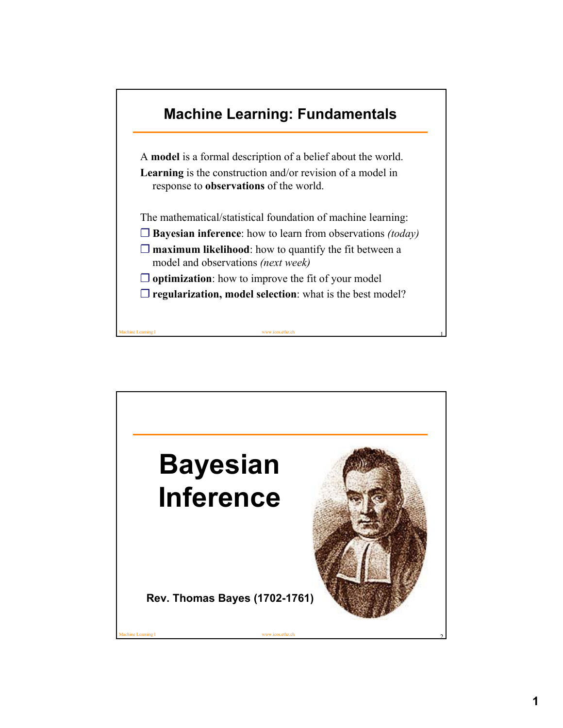

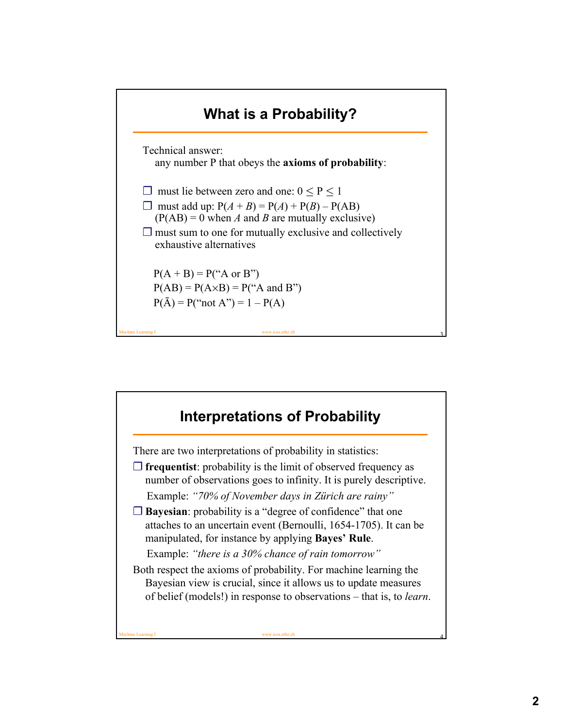

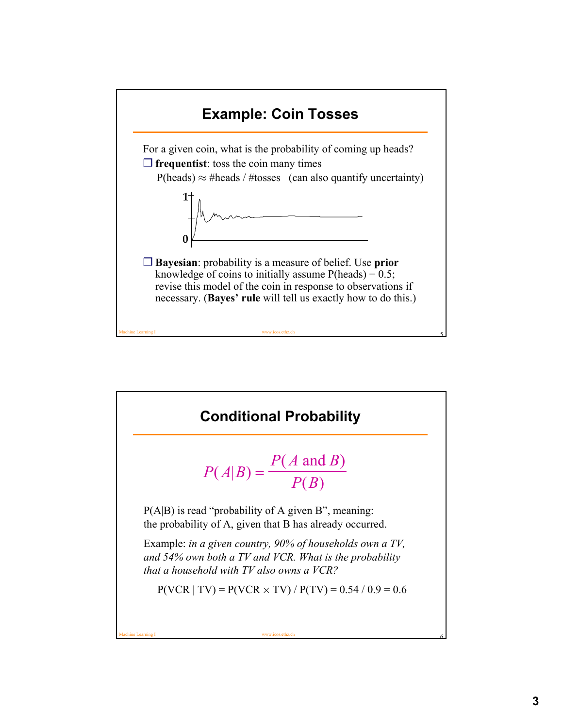

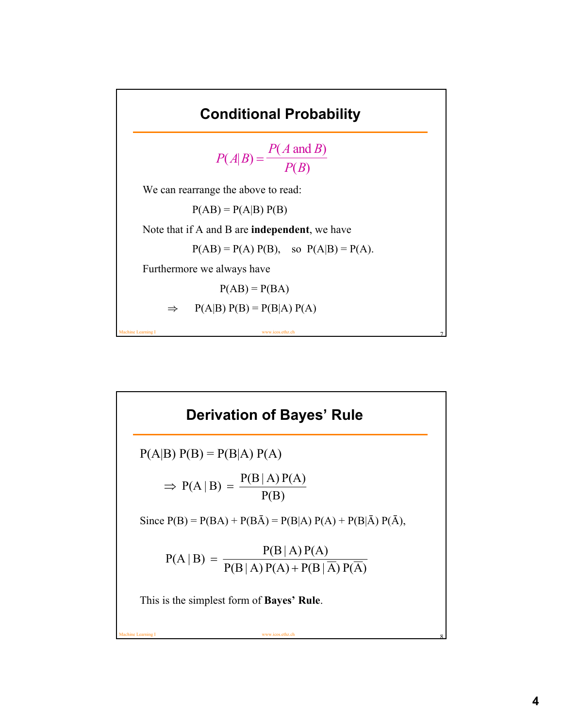

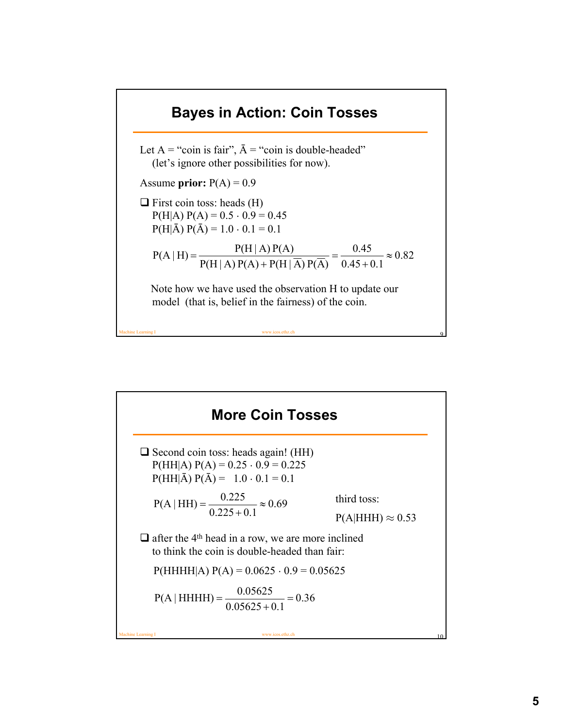

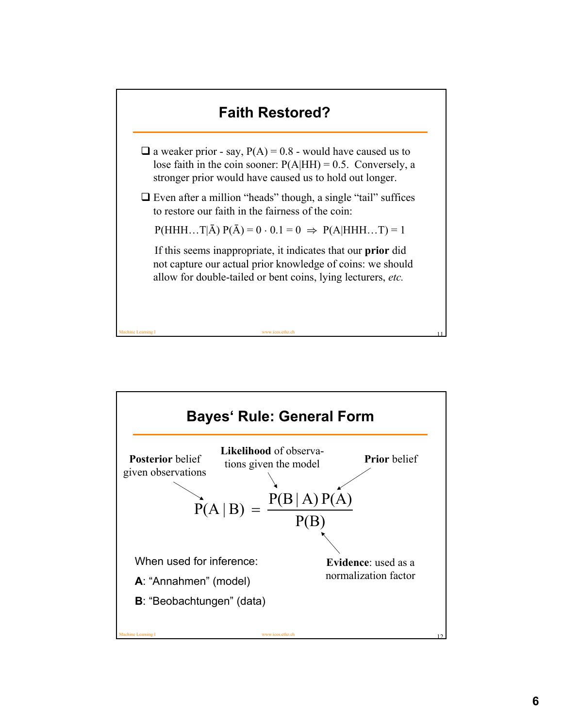

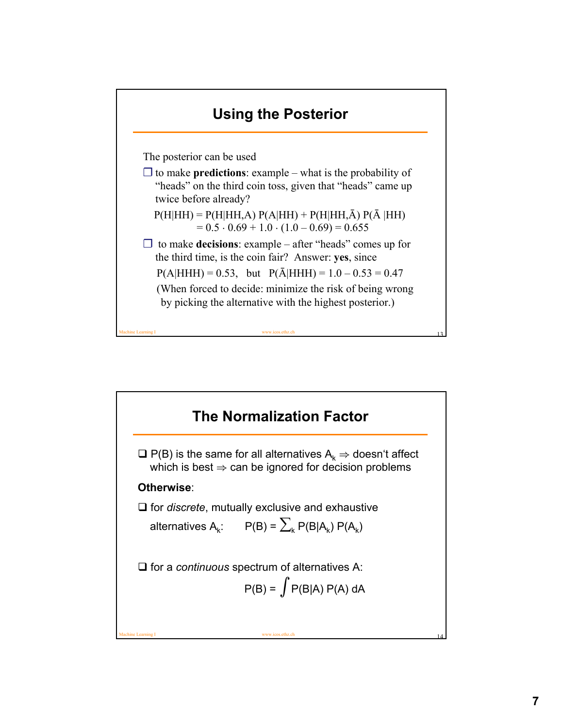

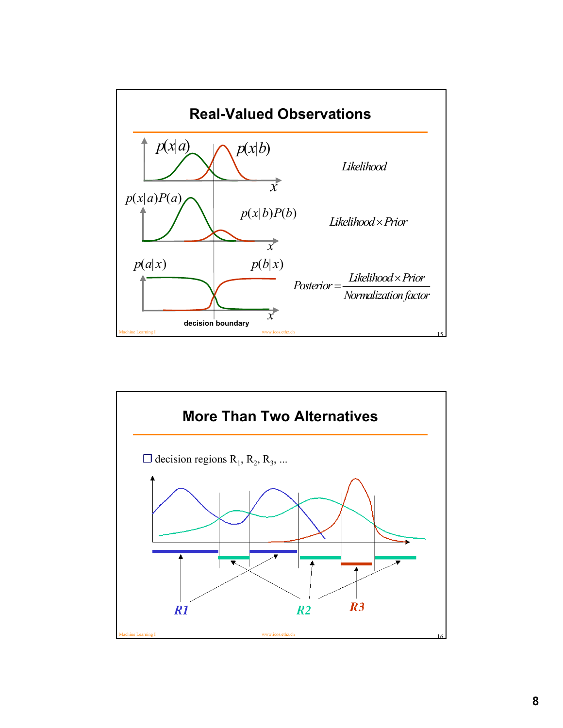

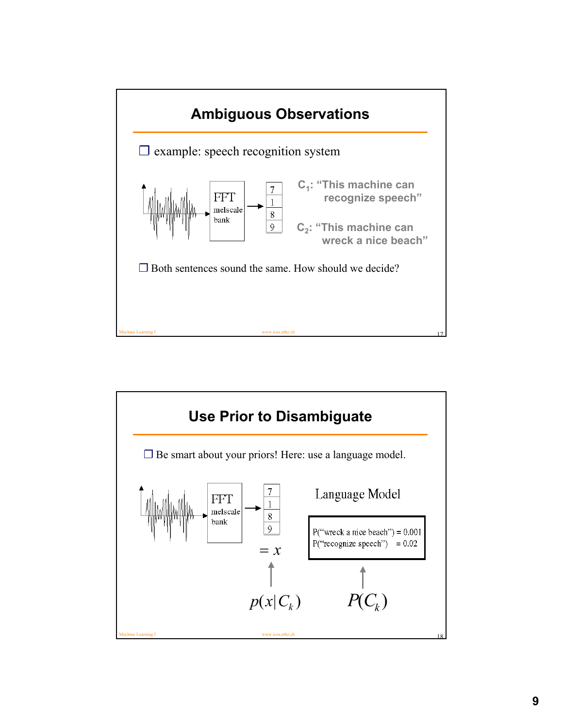